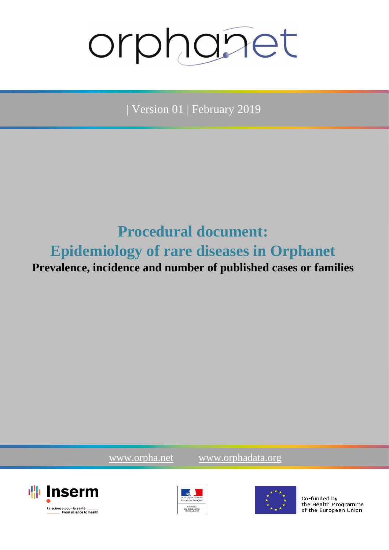# orphanet

| Version 01 | February 2019

# **Procedural document: Epidemiology of rare diseases in Orphanet Prevalence, incidence and number of published cases or families**

[www.orpha.net](file:///C:/Users/vlanneau/APPDATA/LOCAL/TEMP/wz8509/www.orpha.net) [www.orphadata.org](file:///C:/Users/vlanneau/APPDATA/LOCAL/TEMP/wz8509/www.orphadata.org)







Co-funded by the Health Programme of the European Union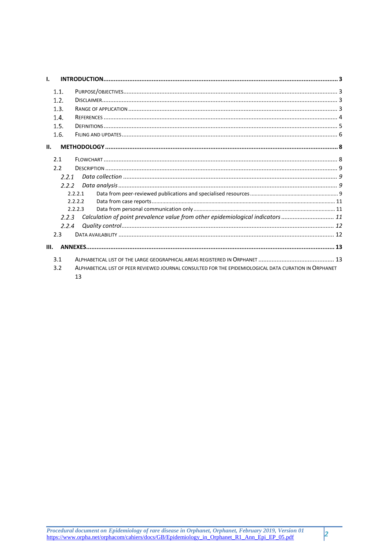| $\mathbf{L}$ |       |                                                                                                        |  |  |  |
|--------------|-------|--------------------------------------------------------------------------------------------------------|--|--|--|
|              | 1.1.  |                                                                                                        |  |  |  |
|              | 1.2.  |                                                                                                        |  |  |  |
|              | 1.3.  |                                                                                                        |  |  |  |
|              | 1.4.  |                                                                                                        |  |  |  |
|              | 1.5.  |                                                                                                        |  |  |  |
|              | 1.6.  |                                                                                                        |  |  |  |
|              |       |                                                                                                        |  |  |  |
| Ш.           |       |                                                                                                        |  |  |  |
|              | 2.1   |                                                                                                        |  |  |  |
|              | 2.2   |                                                                                                        |  |  |  |
|              | 2.2.1 |                                                                                                        |  |  |  |
|              | 2.2.2 |                                                                                                        |  |  |  |
|              |       | 2.2.2.1                                                                                                |  |  |  |
|              |       | 2.2.2.2                                                                                                |  |  |  |
|              |       | 2.2.2.3                                                                                                |  |  |  |
|              | 2.2.3 | Calculation of point prevalence value from other epidemiological indicators  11                        |  |  |  |
|              | 2.2.4 |                                                                                                        |  |  |  |
|              | 2.3   |                                                                                                        |  |  |  |
| Ш.           |       |                                                                                                        |  |  |  |
|              | 3.1   |                                                                                                        |  |  |  |
|              | 3.2   | ALPHABETICAL LIST OF PEER REVIEWED JOURNAL CONSULTED FOR THE EPIDEMIOLOGICAL DATA CURATION IN ORPHANET |  |  |  |
|              |       | 13                                                                                                     |  |  |  |

 $\vert$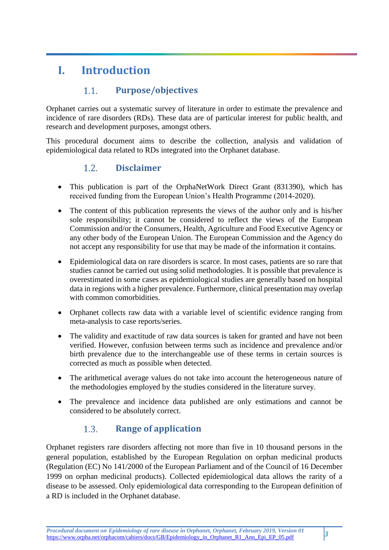# <span id="page-2-0"></span>**I. Introduction**

## $1.1.$ **Purpose/objectives**

<span id="page-2-1"></span>Orphanet carries out a systematic survey of literature in order to estimate the prevalence and incidence of rare disorders (RDs). These data are of particular interest for public health, and research and development purposes, amongst others.

<span id="page-2-2"></span>This procedural document aims to describe the collection, analysis and validation of epidemiological data related to RDs integrated into the Orphanet database.

#### $1.2.$ **Disclaimer**

- This publication is part of the OrphaNetWork Direct Grant (831390), which has received funding from the European Union's Health Programme (2014-2020).
- The content of this publication represents the views of the author only and is his/her sole responsibility; it cannot be considered to reflect the views of the European Commission and/or the Consumers, Health, Agriculture and Food Executive Agency or any other body of the European Union. The European Commission and the Agency do not accept any responsibility for use that may be made of the information it contains.
- Epidemiological data on rare disorders is scarce. In most cases, patients are so rare that studies cannot be carried out using solid methodologies. It is possible that prevalence is overestimated in some cases as epidemiological studies are generally based on hospital data in regions with a higher prevalence. Furthermore, clinical presentation may overlap with common comorbidities.
- Orphanet collects raw data with a variable level of scientific evidence ranging from meta-analysis to case reports/series.
- The validity and exactitude of raw data sources is taken for granted and have not been verified. However, confusion between terms such as incidence and prevalence and/or birth prevalence due to the interchangeable use of these terms in certain sources is corrected as much as possible when detected.
- The arithmetical average values do not take into account the heterogeneous nature of the methodologies employed by the studies considered in the literature survey.
- The prevalence and incidence data published are only estimations and cannot be considered to be absolutely correct.

## $1.3.$ **Range of application**

<span id="page-2-3"></span>Orphanet registers rare disorders affecting not more than five in 10 thousand persons in the general population, established by the European Regulation on orphan medicinal products [\(Regulation \(EC\) No 141/2000 of the European Parliament and of the Council of 16 December](https://ec.europa.eu/health/sites/health/files/files/eudralex/vol-1/reg_2000_141_cons-2009-07/reg_2000_141_cons-2009-07_en.pdf)  [1999 on orphan medicinal products\)](https://ec.europa.eu/health/sites/health/files/files/eudralex/vol-1/reg_2000_141_cons-2009-07/reg_2000_141_cons-2009-07_en.pdf). Collected epidemiological data allows the rarity of a disease to be assessed. Only epidemiological data corresponding to the European definition of a RD is included in the Orphanet database.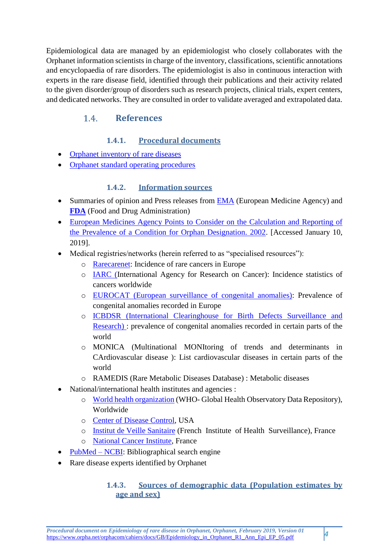Epidemiological data are managed by an epidemiologist who closely collaborates with the Orphanet information scientists in charge of the inventory, classifications, scientific annotations and encyclopaedia of rare disorders. The epidemiologist is also in continuous interaction with experts in the rare disease field, identified through their publications and their activity related to the given disorder/group of disorders such as research projects, clinical trials, expert centers, and dedicated networks. They are consulted in order to validate averaged and extrapolated data.

### <span id="page-3-0"></span>**References**   $1.4.$

# **1.4.1. Procedural documents**

- [Orphanet inventory of rare diseases](http://www.orpha.net/orphacom/cahiers/docs/GB/eproc_disease_inventory_PR_R1_Nom_04.pdf)
- Orphanet standard operating procedures

# **1.4.2. Information sources**

- Summaries of opinion and Press releases from [EMA](http://www.ema.europa.eu/ema/) (European Medicine Agency) and **[FDA](https://www.fda.gov/)** (Food and Drug Administration)
- [European Medicines Agency Points to Consider on the Calculation and Reporting of](http://www.ema.europa.eu/docs/en_GB/document_library/Regulatory_and_procedural_guideline/2009/09/WC500003773.pdf)  [the Prevalence of a Condition for Orphan Designation. 2002.](http://www.ema.europa.eu/docs/en_GB/document_library/Regulatory_and_procedural_guideline/2009/09/WC500003773.pdf) [Accessed January 10, 2019].
- Medical registries/networks (herein referred to as "specialised resources"):
	- o [Rarecarenet:](http://www.rarecare.eu/default.asp) Incidence of rare cancers in Europe
	- o [IARC](http://www.iarc.fr/) (International Agency for Research on Cancer): Incidence statistics of cancers worldwide
	- o [EUROCAT](http://www.eurocat-network.eu/) (European surveillance of congenital anomalies): Prevalence of congenital anomalies recorded in Europe
	- o [ICBDSR](http://www.icbdsr.org/) (International Clearinghouse for Birth Defects Surveillance and Research) : prevalence of congenital anomalies recorded in certain parts of the world
	- o MONICA (Multinational MONItoring of trends and determinants in CArdiovascular disease ): List cardiovascular diseases in certain parts of the world
	- o RAMEDIS (Rare Metabolic Diseases Database) : Metabolic diseases
- National/international health institutes and agencies :
	- o [World health organization](http://www.who.int/en/) (WHO- Global Health Observatory Data Repository), Worldwide
	- o [Center of Disease Control,](https://www.cdc.gov/) USA
	- o [Institut de Veille Sanitaire](http://invs.santepubliquefrance.fr/) (French Institute of Health Surveillance), France
	- o [National Cancer Institute,](http://www.e-cancer.fr/) France
- [PubMed –](https://www-ncbi-nlm-nih-gov.gate2.inist.fr/pubmed) NCBI: Bibliographical search engine
- Rare disease experts identified by Orphanet

# **1.4.3. Sources of demographic data (Population estimates by age and sex)**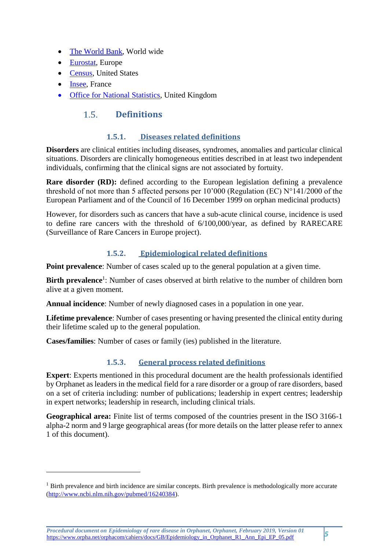- [The World Bank,](https://data.worldbank.org/indicator/sp.pop.totl) World wide
- [Eurostat,](http://ec.europa.eu/eurostat/tgm/table.do?tab=table&init=1&language=fr&pcode=tps00001&plugin=1) Europe
- [Census,](https://www.census.gov/population/age/) United States
- [Insee,](http://www.insee.fr/fr/themes/detail.asp?ref_id=bilan-demo&page=donnees-detaillees/bilan-demo/pop_age2b.htm) France

-

<span id="page-4-0"></span>[Office for National Statistics,](http://ons.gov.uk/ons/taxonomy/index.html?nscl=Population+Estimates+by+Age+and+Sex) United Kingdom

#### $1.5.$ **Definitions**

## **1.5.1. Diseases related definitions**

**Disorders** are clinical entities including diseases, syndromes, anomalies and particular clinical situations. Disorders are clinically homogeneous entities described in at least two independent individuals, confirming that the clinical signs are not associated by fortuity.

**Rare disorder (RD):** defined according to the European legislation defining a prevalence threshold of not more than 5 affected persons per 10'000 (Regulation (EC) N°141/2000 of the European Parliament and of the Council of 16 December 1999 on orphan medicinal products)

However, for disorders such as cancers that have a sub-acute clinical course, incidence is used to define rare cancers with the threshold of 6/100,000/year, as defined by [RARECARE](http://www.ncbi.nlm.nih.gov/pubmed/22033323) (Surveillance of Rare Cancers in Europe project).

# **1.5.2. Epidemiological related definitions**

**Point prevalence**: Number of cases scaled up to the general population at a given time.

Birth prevalence<sup>1</sup>: Number of cases observed at birth relative to the number of children born alive at a given moment.

**Annual incidence**: Number of newly diagnosed cases in a population in one year.

**Lifetime prevalence**: Number of cases presenting or having presented the clinical entity during their lifetime scaled up to the general population.

**Cases/families**: Number of cases or family (ies) published in the literature.

# **1.5.3. General process related definitions**

**Expert**: Experts mentioned in this procedural document are the health professionals identified by Orphanet as leaders in the medical field for a rare disorder or a group of rare disorders, based on a set of criteria including: number of publications; leadership in expert centres; leadership in expert networks; leadership in research, including clinical trials.

**Geographical area:** Finite list of terms composed of the countries present in the ISO 3166-1 alpha-2 norm and 9 large geographical areas (for more details on the latter please refer to annex 1 of this document).

<sup>&</sup>lt;sup>1</sup> Birth prevalence and birth incidence are similar concepts. Birth prevalence is methodologically more accurate [\(http://www.ncbi.nlm.nih.gov/pubmed/16240384\)](http://www.ncbi.nlm.nih.gov/pubmed/16240384).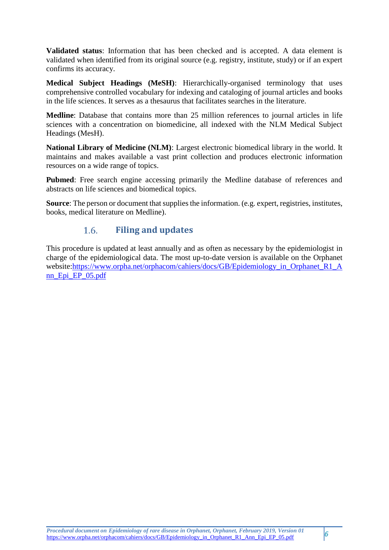**Validated status**: Information that has been checked and is accepted. A data element is validated when identified from its original source (e.g. registry, institute, study) or if an expert confirms its accuracy.

**Medical Subject Headings (MeSH)**: Hierarchically-organised terminology that uses comprehensive controlled vocabulary for indexing and cataloging of journal articles and books in the life sciences. It serves as a thesaurus that facilitates searches in the literature.

**Medline**: Database that contains more than 25 million references to journal articles in life sciences with a concentration on biomedicine, all indexed with the NLM Medical Subject Headings (MesH).

**National Library of Medicine (NLM)**: Largest electronic biomedical library in the world. It maintains and makes available a vast print collection and produces electronic information resources on a wide range of topics.

**Pubmed**: Free search engine accessing primarily the Medline database of references and abstracts on life sciences and biomedical topics.

**Source**: The person or document that supplies the information. (e.g. expert, registries, institutes, books, medical literature on Medline).

### $1.6.$ **Filing and updates**

<span id="page-5-0"></span>This procedure is updated at least annually and as often as necessary by the epidemiologist in charge of the epidemiological data. The most up-to-date version is available on the Orphanet website[:https://www.orpha.net/orphacom/cahiers/docs/GB/Epidemiology\\_in\\_Orphanet\\_R1\\_A](https://www.orpha.net/orphacom/cahiers/docs/GB/Epidemiology_in_Orphanet_R1_Ann_Epi_EP_05.pdf) [nn\\_Epi\\_EP\\_05.pdf](https://www.orpha.net/orphacom/cahiers/docs/GB/Epidemiology_in_Orphanet_R1_Ann_Epi_EP_05.pdf)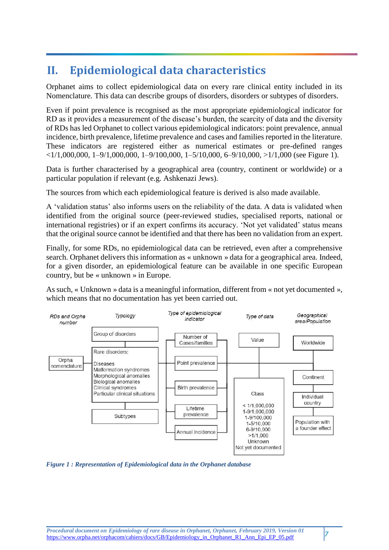# **II. Epidemiological data characteristics**

Orphanet aims to collect epidemiological data on every rare clinical entity included in its Nomenclature. This data can describe groups of disorders, disorders or subtypes of disorders.

Even if point prevalence is recognised as the most appropriate epidemiological indicator for RD as it provides a measurement of the disease's burden, the scarcity of data and the diversity of RDs has led Orphanet to collect various epidemiological indicators: point prevalence, annual incidence, birth prevalence, lifetime prevalence and cases and families reported in the literature. These indicators are registered either as numerical estimates or pre-defined ranges  $\langle 1/1,000,000, 1-9/1,000,000, 1-9/100,000, 1-5/10,000, 6-9/10,000, \geq 1/1,000$  (see Figure 1).

Data is further characterised by a geographical area (country, continent or worldwide) or a particular population if relevant (e.g. Ashkenazi Jews).

The sources from which each epidemiological feature is derived is also made available.

A 'validation status' also informs users on the reliability of the data. A data is validated when identified from the original source (peer-reviewed studies, specialised reports, national or international registries) or if an expert confirms its accuracy. 'Not yet validated' status means that the original source cannot be identified and that there has been no validation from an expert.

Finally, for some RDs, no epidemiological data can be retrieved, even after a comprehensive search. Orphanet delivers this information as « unknown » data for a geographical area. Indeed, for a given disorder, an epidemiological feature can be available in one specific European country, but be « unknown » in Europe.

As such, « Unknown » data is a meaningful information, different from « not yet documented », which means that no documentation has yet been carried out.



*Figure 1 : Representation of Epidemiological data in the Orphanet database*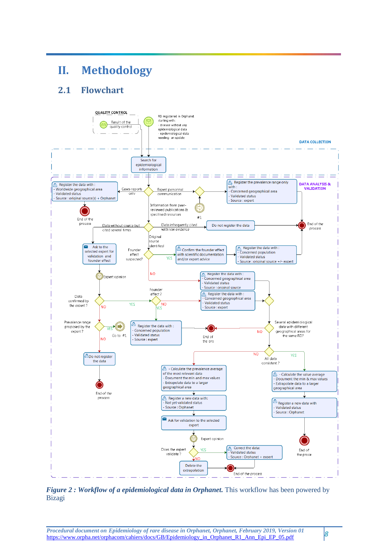# <span id="page-7-0"></span>**II. Methodology**

# <span id="page-7-1"></span>**2.1 Flowchart**



*Figure 2 : Workflow of a epidemiological data in Orphanet. This workflow has been powered by* Bizagi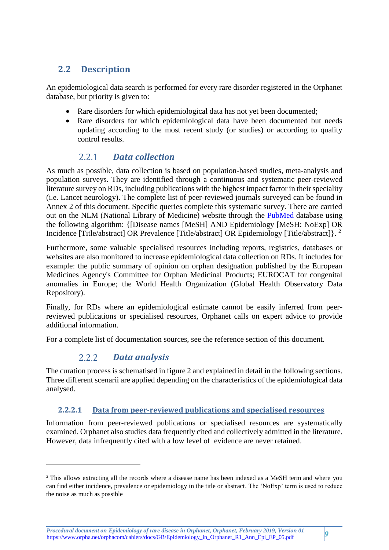# <span id="page-8-0"></span>**2.2 Description**

An epidemiological data search is performed for every rare disorder registered in the Orphanet database, but priority is given to:

- Rare disorders for which epidemiological data has not yet been documented;
- Rare disorders for which epidemiological data have been documented but needs updating according to the most recent study (or studies) or according to quality control results.

## <span id="page-8-1"></span> $2.2.1$ *Data collection*

As much as possible, data collection is based on population-based studies, meta-analysis and population surveys. They are identified through a continuous and systematic peer-reviewed literature survey on RDs, including publications with the highest impact factor in their speciality (i.e. Lancet neurology). The complete list of peer-reviewed journals surveyed can be found in Annex 2 of this document. Specific queries complete this systematic survey. There are carried out on the NLM (National Library of Medicine) website through the [PubMed](https://www-ncbi-nlm-nih-gov.gate2.inist.fr/pubmed/) database using the following algorithm: {[Disease names [MeSH] AND Epidemiology [MeSH: NoExp] OR Incidence [Title/abstract] OR Prevalence [Title/abstract] OR Epidemiology [Title/abstract]}. <sup>2</sup>

Furthermore, some valuable specialised resources including reports, registries, databases or websites are also monitored to increase epidemiological data collection on RDs. It includes for example: the public summary of opinion on orphan designation published by the European Medicines Agency's Committee for Orphan Medicinal Products; EUROCAT for congenital anomalies in Europe; the World Health Organization (Global Health Observatory Data Repository).

Finally, for RDs where an epidemiological estimate cannot be easily inferred from peerreviewed publications or specialised resources, Orphanet calls on expert advice to provide additional information.

For a complete list of documentation sources, see the reference section of this document.

### <span id="page-8-2"></span> $2.2.2$ *Data analysis*

**.** 

The curation process is schematised in figure 2 and explained in detail in the following sections. Three different scenarii are applied depending on the characteristics of the epidemiological data analysed.

# <span id="page-8-3"></span>**2.2.2.1 Data from peer-reviewed publications and specialised resources**

Information from peer-reviewed publications or specialised resources are systematically examined. Orphanet also studies data frequently cited and collectively admitted in the literature. However, data infrequently cited with a low level of evidence are never retained.

<sup>&</sup>lt;sup>2</sup> This allows extracting all the records where a disease name has been indexed as a MeSH term and where you can find either incidence, prevalence or epidemiology in the title or abstract. The 'NoExp' term is used to reduce the noise as much as possible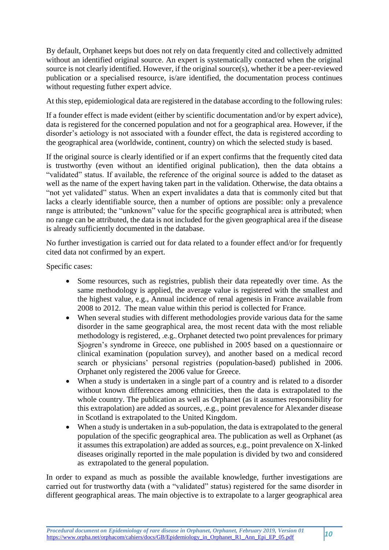By default, Orphanet keeps but does not rely on data frequently cited and collectively admitted without an identified original source. An expert is systematically contacted when the original source is not clearly identified. However, if the original source(s), whether it be a peer-reviewed publication or a specialised resource, is/are identified, the documentation process continues without requesting futher expert advice.

At this step, epidemiological data are registered in the database according to the following rules:

If a founder effect is made evident (either by scientific documentation and/or by expert advice), data is registered for the concerned population and not for a geographical area. However, if the disorder's aetiology is not associated with a founder effect, the data is registered according to the geographical area (worldwide, continent, country) on which the selected study is based.

If the original source is clearly identified or if an expert confirms that the frequently cited data is trustworthy (even without an identified original publication), then the data obtains a "validated" status. If available, the reference of the original source is added to the dataset as well as the name of the expert having taken part in the validation. Otherwise, the data obtains a "not yet validated" status. When an expert invalidates a data that is commonly cited but that lacks a clearly identifiable source, then a number of options are possible: only a prevalence range is attributed; the "unknown" value for the specific geographical area is attributed; when no range can be attributed, the data is not included for the given geographical area if the disease is already sufficiently documented in the database.

No further investigation is carried out for data related to a founder effect and/or for frequently cited data not confirmed by an expert.

Specific cases:

- Some resources, such as registries, publish their data repeatedly over time. As the same methodology is applied, the average value is registered with the smallest and the highest value, e.g., Annual incidence of renal agenesis in France available from 2008 to 2012. The mean value within this period is collected for France.
- When several studies with different methodologies provide various data for the same disorder in the same geographical area, the most recent data with the most reliable methodology is registered, .e.g., Orphanet detected two point prevalences for primary Sjogren's syndrome in Greece, one published in 2005 based on a questionnaire or clinical examination (population survey), and another based on a medical record search or physicians' personal registries (population-based) published in 2006. Orphanet only registered the 2006 value for Greece.
- When a study is undertaken in a single part of a country and is related to a disorder without known differences among ethnicities, then the data is extrapolated to the whole country. The publication as well as Orphanet (as it assumes responsibility for this extrapolation) are added as sources, .e.g., point prevalence for Alexander disease in Scotland is extrapolated to the United Kingdom.
- When a study is undertaken in a sub-population, the data is extrapolated to the general population of the specific geographical area. The publication as well as Orphanet (as it assumes this extrapolation) are added as sources, e.g., point prevalence on X-linked diseases originally reported in the male population is divided by two and considered as extrapolated to the general population.

In order to expand as much as possible the available knowledge, further investigations are carried out for trustworthy data (with a "validated" status) registered for the same disorder in different geographical areas. The main objective is to extrapolate to a larger geographical area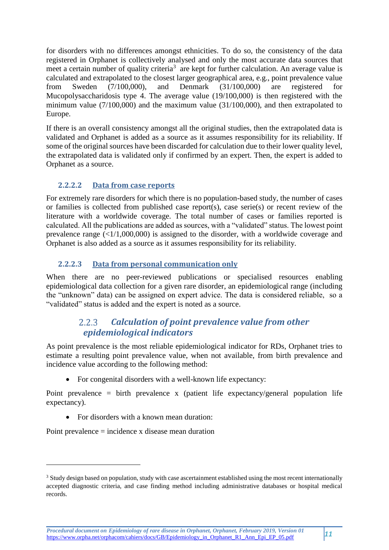for disorders with no differences amongst ethnicities. To do so, the consistency of the data registered in Orphanet is collectively analysed and only the most accurate data sources that meet a certain number of quality criteria<sup>3</sup> are kept for further calculation. An average value is calculated and extrapolated to the closest larger geographical area, e.g., point prevalence value from Sweden (7/100,000), and Denmark (31/100,000) are registered for Mucopolysaccharidosis type 4. The average value (19/100,000) is then registered with the minimum value (7/100,000) and the maximum value (31/100,000), and then extrapolated to Europe.

If there is an overall consistency amongst all the original studies, then the extrapolated data is validated and Orphanet is added as a source as it assumes responsibility for its reliability. If some of the original sources have been discarded for calculation due to their lower quality level, the extrapolated data is validated only if confirmed by an expert. Then, the expert is added to Orphanet as a source.

# <span id="page-10-0"></span>**2.2.2.2 Data from case reports**

For extremely rare disorders for which there is no population-based study, the number of cases or families is collected from published case report(s), case serie(s) or recent review of the literature with a worldwide coverage. The total number of cases or families reported is calculated. All the publications are added as sources, with a "validated" status. The lowest point prevalence range  $(\leq 1/1,000,000)$  is assigned to the disorder, with a worldwide coverage and Orphanet is also added as a source as it assumes responsibility for its reliability.

# <span id="page-10-1"></span>**2.2.2.3 Data from personal communication only**

When there are no peer-reviewed publications or specialised resources enabling epidemiological data collection for a given rare disorder, an epidemiological range (including the "unknown" data) can be assigned on expert advice. The data is considered reliable, so a "validated" status is added and the expert is noted as a source.

## $2.2.3$ *Calculation of point prevalence value from other epidemiological indicators*

<span id="page-10-2"></span>As point prevalence is the most reliable epidemiological indicator for RDs, Orphanet tries to estimate a resulting point prevalence value, when not available, from birth prevalence and incidence value according to the following method:

• For congenital disorders with a well-known life expectancy:

Point prevalence = birth prevalence x (patient life expectancy/general population life expectancy).

For disorders with a known mean duration:

Point prevalence = incidence x disease mean duration

**.** 

<sup>&</sup>lt;sup>3</sup> Study design based on population, study with case ascertainment established using the most recent internationally accepted diagnostic criteria, and case finding method including administrative databases or hospital medical records.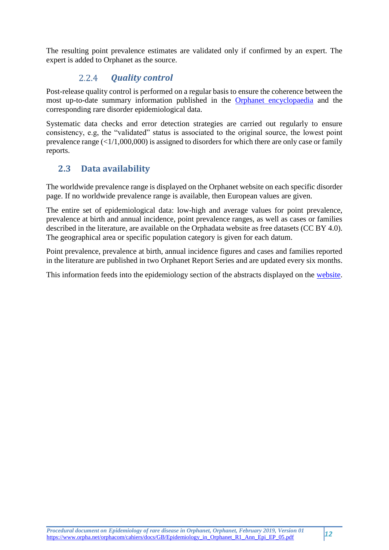The resulting point prevalence estimates are validated only if confirmed by an expert. The expert is added to Orphanet as the source.

#### $2.2.4$ *Quality control*

<span id="page-11-0"></span>Post-release quality control is performed on a regular basis to ensure the coherence between the most up-to-date summary information published in the [Orphanet encyclopaedia](https://www.orpha.net/consor/cgi-bin/Education.php?lng=EN) and the corresponding rare disorder epidemiological data.

Systematic data checks and error detection strategies are carried out regularly to ensure consistency, e.g, the "validated" status is associated to the original source, the lowest point prevalence range  $(\langle 1/1,000,000 \rangle)$  is assigned to disorders for which there are only case or family reports.

# <span id="page-11-1"></span>**2.3 Data availability**

The worldwide prevalence range is displayed on the Orphanet website on each specific disorder page. If no worldwide prevalence range is available, then European values are given.

The entire set of epidemiological data: low-high and average values for point prevalence, prevalence at birth and annual incidence, point prevalence ranges, as well as cases or families described in the literature, are available on the [Orphadata](http://www.orphadata.org/) website as free datasets (CC BY 4.0). The geographical area or specific population category is given for each datum.

Point prevalence, prevalence at birth, annual incidence figures and cases and families reported in the literature are published in two [Orphanet Report Series](http://www.orpha.net/consor/cgi-bin/Education.php?lng=EN) and are updated every six months.

This information feeds into the epidemiology section of the abstracts displayed on the [website.](https://www.orpha.net/consor/cgi-bin/index.php?lng=EN)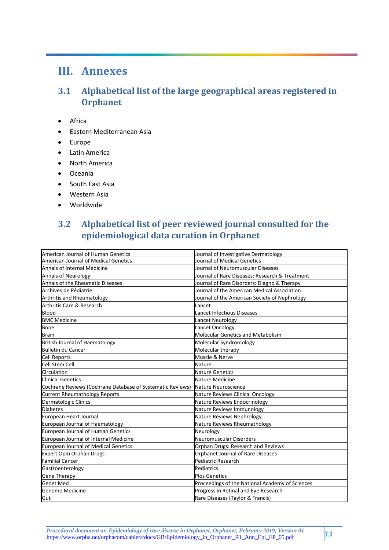# <span id="page-12-0"></span>**III. Annexes**

# <span id="page-12-1"></span>**3.1 Alphabetical list of the large geographical areas registered in Orphanet**

- Africa
- Eastern Mediterranean Asia
- Europe
- Latin America
- North America
- Oceania
- South East Asia
- Western Asia
- Worldwide

# <span id="page-12-2"></span>**3.2 Alphabetical list of peer reviewed journal consulted for the epidemiological data curation in Orphanet**

| American Journal of Human Genetics                         | Journal of Investigative Dermatology            |
|------------------------------------------------------------|-------------------------------------------------|
| <b>American Journal of Medical Genetics</b>                | Journal of Medical Genetics                     |
| <b>Annals of Internal Medicine</b>                         | Journal of Neuromuscular Diseases               |
| Annals of Neurology                                        | Journal of Rare Diseases: Research & Treatment  |
| Annals of the Rheumatic Diseases                           | Journal of Rare Disorders: Diagno & Therapy     |
| Archives de Pédiatrie                                      | Journal of the American Medical Association     |
| <b>Arthritis and Rheumatology</b>                          | Journal of the American Society of Nephrology   |
| <b>Arthritis Care &amp; Research</b>                       | Lancet                                          |
| <b>Blood</b>                                               | <b>Lancet Infectious Diseases</b>               |
| <b>BMC Medicine</b>                                        | Lancet Neurology                                |
| <b>Bone</b>                                                | Lancet Oncology                                 |
| <b>Brain</b>                                               | <b>Molecular Genetics and Metabolism</b>        |
| <b>British Journal of Haematology</b>                      | Molecular Syndromology                          |
| <b>Bulletin du Cancer</b>                                  | Molecular therapy                               |
| <b>Cell Reports</b>                                        | Muscle & Nerve                                  |
| Cell Stem Cell                                             | Nature                                          |
| Circulation                                                | <b>Nature Genetics</b>                          |
| <b>Clinical Genetics</b>                                   | Nature Medicine                                 |
| Cochrane Reviews (Cochrane Database of Systematic Reviews) | Nature Neuroscience                             |
| <b>Current Rheumathology Reports</b>                       | Nature Reviews Clinical Oncology                |
| <b>Dermatologic Clinics</b>                                | Nature Reviews Endocrinology                    |
| <b>Diabetes</b>                                            | Nature Reviews Immunology                       |
| European Heart Journal                                     | Nature Reviews Nephrology                       |
| European Journal of Haematology                            | Nature Reviews Rheumathology                    |
| European Journal of Human Genetics                         | Neurology                                       |
| European Journal of Internal Medicine                      | <b>Neuromuscular Disorders</b>                  |
| <b>European Journal of Medical Genetics</b>                | Orphan Drugs: Research and Reviews              |
| <b>Expert Opin Orphan Drugs</b>                            | Orphanet Journal of Rare Diseases               |
| <b>Familial Cancer</b>                                     | <b>Pediatric Research</b>                       |
| Gastroenterology                                           | Pediatrics                                      |
| <b>Gene Therapy</b>                                        | <b>Plos Genetics</b>                            |
| <b>Genet Med</b>                                           | Proceedings of the National Academy of Sciences |
| Genome Medicine                                            | Progress in Retinal and Eye Research            |
| Gut                                                        | Rare Diseases (Taylor & Francis)                |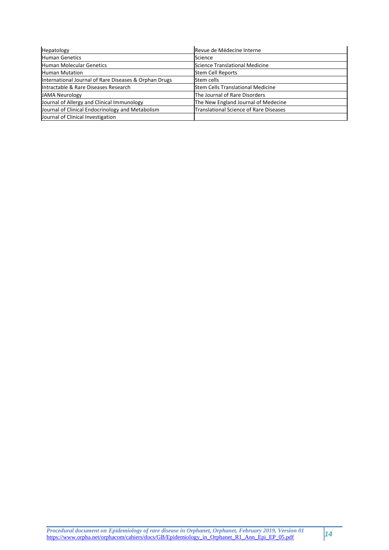| Hepatology                                            | Revue de Médecine Interne                     |
|-------------------------------------------------------|-----------------------------------------------|
| <b>Human Genetics</b>                                 | Science                                       |
| Human Molecular Genetics                              | Science Translational Medicine                |
| <b>Human Mutation</b>                                 | <b>Stem Cell Reports</b>                      |
| International Journal of Rare Diseases & Orphan Drugs | Stem cells                                    |
| Intractable & Rare Diseases Research                  | <b>Stem Cells Translational Medicine</b>      |
| <b>JAMA Neurology</b>                                 | The Journal of Rare Disorders                 |
| Journal of Allergy and Clinical Immunology            | The New England Journal of Medecine           |
| Journal of Clinical Endocrinology and Metabolism      | <b>Translational Science of Rare Diseases</b> |
| Journal of Clinical Investigation                     |                                               |